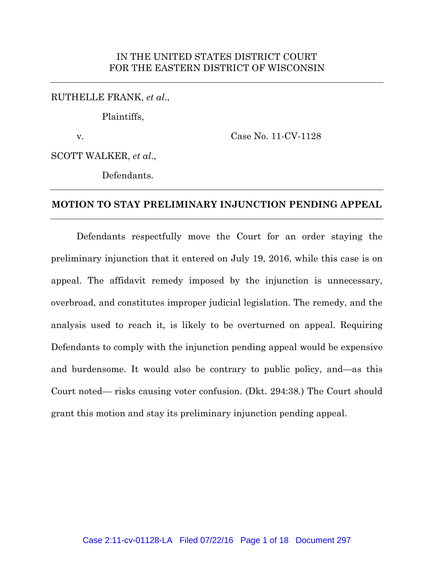### IN THE UNITED STATES DISTRICT COURT FOR THE EASTERN DISTRICT OF WISCONSIN

RUTHELLE FRANK, *et al*.,

Plaintiffs,

v. Case No. 11-CV-1128

SCOTT WALKER, *et al*.,

Defendants.

#### **MOTION TO STAY PRELIMINARY INJUNCTION PENDING APPEAL**

Defendants respectfully move the Court for an order staying the preliminary injunction that it entered on July 19, 2016, while this case is on appeal. The affidavit remedy imposed by the injunction is unnecessary, overbroad, and constitutes improper judicial legislation. The remedy, and the analysis used to reach it, is likely to be overturned on appeal. Requiring Defendants to comply with the injunction pending appeal would be expensive and burdensome. It would also be contrary to public policy, and—as this Court noted— risks causing voter confusion. (Dkt. 294:38.) The Court should grant this motion and stay its preliminary injunction pending appeal.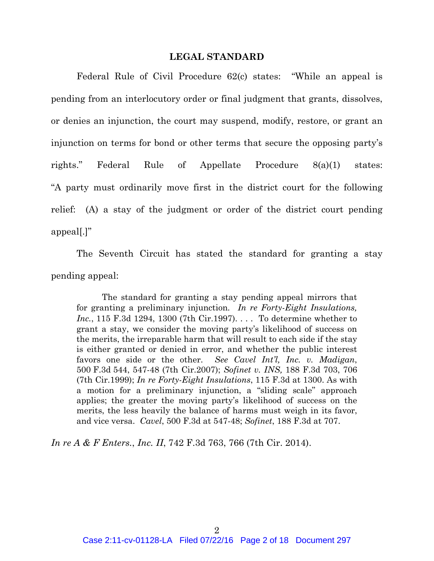#### **LEGAL STANDARD**

Federal Rule of Civil Procedure 62(c) states: "While an appeal is pending from an interlocutory order or final judgment that grants, dissolves, or denies an injunction, the court may suspend, modify, restore, or grant an injunction on terms for bond or other terms that secure the opposing party's rights." Federal Rule of Appellate Procedure 8(a)(1) states: "A party must ordinarily move first in the district court for the following relief: (A) a stay of the judgment or order of the district court pending appeal[.]"

The Seventh Circuit has stated the standard for granting a stay pending appeal:

The standard for granting a stay pending appeal mirrors that for granting a preliminary injunction*. In re Forty-Eight Insulations, Inc.*, 115 F.3d 1294, 1300 (7th Cir.1997). . . . To determine whether to grant a stay, we consider the moving party's likelihood of success on the merits, the irreparable harm that will result to each side if the stay is either granted or denied in error, and whether the public interest favors one side or the other. *See Cavel Int'l, Inc. v. Madigan*, 500 F.3d 544, 547-48 (7th Cir.2007); *Sofinet v. INS,* 188 F.3d 703, 706 (7th Cir.1999); *In re Forty-Eight Insulations*, 115 F.3d at 1300. As with a motion for a preliminary injunction, a "sliding scale" approach applies; the greater the moving party's likelihood of success on the merits, the less heavily the balance of harms must weigh in its favor, and vice versa. *Cavel*, 500 F.3d at 547-48; *Sofinet*, 188 F.3d at 707.

*In re A & F Enters.*, *Inc. II*, 742 F.3d 763, 766 (7th Cir. 2014).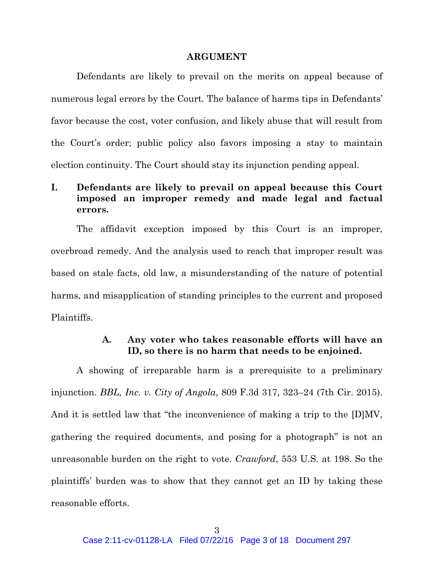#### **ARGUMENT**

Defendants are likely to prevail on the merits on appeal because of numerous legal errors by the Court. The balance of harms tips in Defendants' favor because the cost, voter confusion, and likely abuse that will result from the Court's order; public policy also favors imposing a stay to maintain election continuity. The Court should stay its injunction pending appeal.

# **I. Defendants are likely to prevail on appeal because this Court imposed an improper remedy and made legal and factual errors.**

The affidavit exception imposed by this Court is an improper, overbroad remedy. And the analysis used to reach that improper result was based on stale facts, old law, a misunderstanding of the nature of potential harms, and misapplication of standing principles to the current and proposed Plaintiffs.

## **A. Any voter who takes reasonable efforts will have an ID, so there is no harm that needs to be enjoined.**

A showing of irreparable harm is a prerequisite to a preliminary injunction. *BBL, Inc. v. City of Angola*, 809 F.3d 317, 323–24 (7th Cir. 2015). And it is settled law that "the inconvenience of making a trip to the [D]MV, gathering the required documents, and posing for a photograph" is not an unreasonable burden on the right to vote. *Crawford*, 553 U.S. at 198. So the plaintiffs' burden was to show that they cannot get an ID by taking these reasonable efforts.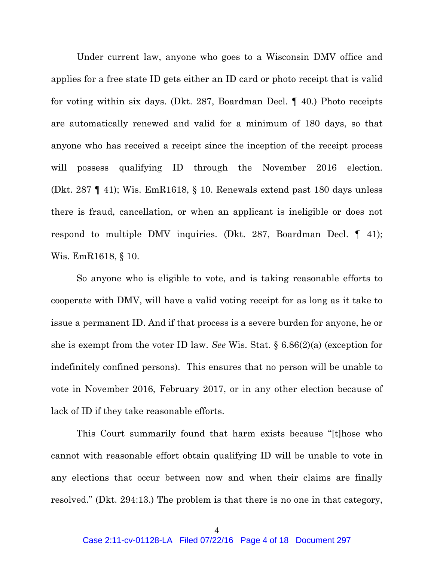Under current law, anyone who goes to a Wisconsin DMV office and applies for a free state ID gets either an ID card or photo receipt that is valid for voting within six days. (Dkt. 287, Boardman Decl. ¶ 40.) Photo receipts are automatically renewed and valid for a minimum of 180 days, so that anyone who has received a receipt since the inception of the receipt process will possess qualifying ID through the November 2016 election. (Dkt. 287 ¶ 41); Wis. EmR1618, § 10. Renewals extend past 180 days unless there is fraud, cancellation, or when an applicant is ineligible or does not respond to multiple DMV inquiries. (Dkt. 287, Boardman Decl. ¶ 41); Wis. EmR1618, § 10.

So anyone who is eligible to vote, and is taking reasonable efforts to cooperate with DMV, will have a valid voting receipt for as long as it take to issue a permanent ID. And if that process is a severe burden for anyone, he or she is exempt from the voter ID law. *See* Wis. Stat. § 6.86(2)(a) (exception for indefinitely confined persons). This ensures that no person will be unable to vote in November 2016, February 2017, or in any other election because of lack of ID if they take reasonable efforts.

This Court summarily found that harm exists because "[t]hose who cannot with reasonable effort obtain qualifying ID will be unable to vote in any elections that occur between now and when their claims are finally resolved." (Dkt. 294:13.) The problem is that there is no one in that category,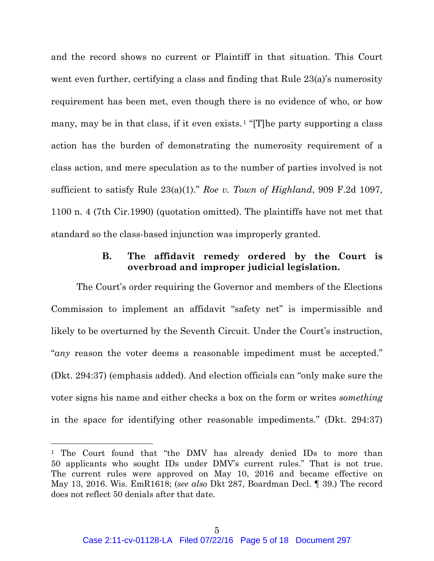and the record shows no current or Plaintiff in that situation. This Court went even further, certifying a class and finding that Rule 23(a)'s numerosity requirement has been met, even though there is no evidence of who, or how many, may be in that class, if it even exists.<sup>1</sup> "[T]he party supporting a class action has the burden of demonstrating the numerosity requirement of a class action, and mere speculation as to the number of parties involved is not sufficient to satisfy Rule 23(a)(1)." *Roe v. Town of Highland*, 909 F.2d 1097, 1100 n. 4 (7th Cir.1990) (quotation omitted). The plaintiffs have not met that standard so the class-based injunction was improperly granted.

### **B. The affidavit remedy ordered by the Court is overbroad and improper judicial legislation.**

The Court's order requiring the Governor and members of the Elections Commission to implement an affidavit "safety net" is impermissible and likely to be overturned by the Seventh Circuit. Under the Court's instruction, "*any* reason the voter deems a reasonable impediment must be accepted." (Dkt. 294:37) (emphasis added). And election officials can "only make sure the voter signs his name and either checks a box on the form or writes *something* in the space for identifying other reasonable impediments." (Dkt. 294:37)

 $\overline{a}$ 

<sup>&</sup>lt;sup>1</sup> The Court found that "the DMV has already denied IDs to more than 50 applicants who sought IDs under DMV's current rules." That is not true. The current rules were approved on May 10, 2016 and became effective on May 13, 2016. Wis. EmR1618; (*see also* Dkt 287, Boardman Decl. ¶ 39.) The record does not reflect 50 denials after that date.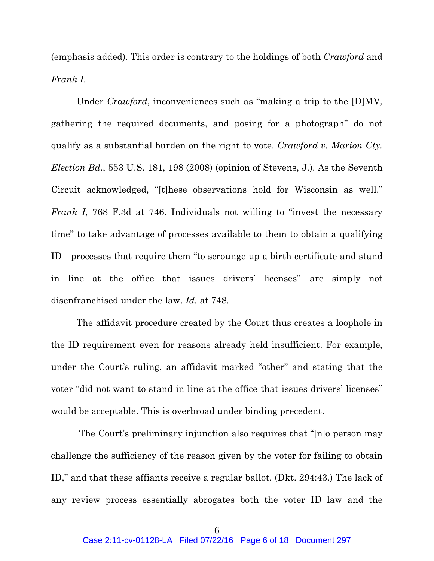(emphasis added). This order is contrary to the holdings of both *Crawford* and *Frank I*.

Under *Crawford*, inconveniences such as "making a trip to the [D]MV, gathering the required documents, and posing for a photograph" do not qualify as a substantial burden on the right to vote. *Crawford v. Marion Cty. Election Bd*., 553 U.S. 181, 198 (2008) (opinion of Stevens, J.). As the Seventh Circuit acknowledged, "[t]hese observations hold for Wisconsin as well." *Frank I*, 768 F.3d at 746. Individuals not willing to "invest the necessary time" to take advantage of processes available to them to obtain a qualifying ID—processes that require them "to scrounge up a birth certificate and stand in line at the office that issues drivers' licenses"—are simply not disenfranchised under the law. *Id.* at 748.

The affidavit procedure created by the Court thus creates a loophole in the ID requirement even for reasons already held insufficient. For example, under the Court's ruling, an affidavit marked "other" and stating that the voter "did not want to stand in line at the office that issues drivers' licenses" would be acceptable. This is overbroad under binding precedent.

The Court's preliminary injunction also requires that "[n]o person may challenge the sufficiency of the reason given by the voter for failing to obtain ID," and that these affiants receive a regular ballot. (Dkt. 294:43.) The lack of any review process essentially abrogates both the voter ID law and the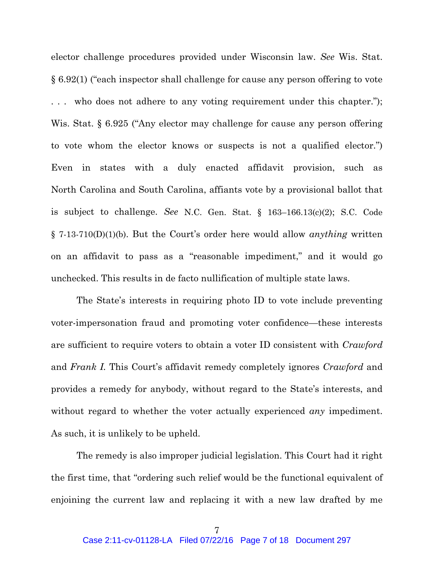elector challenge procedures provided under Wisconsin law. *See* Wis. Stat. § 6.92(1) ("each inspector shall challenge for cause any person offering to vote who does not adhere to any voting requirement under this chapter."); Wis. Stat. § 6.925 ("Any elector may challenge for cause any person offering to vote whom the elector knows or suspects is not a qualified elector.") Even in states with a duly enacted affidavit provision, such as North Carolina and South Carolina, affiants vote by a provisional ballot that is subject to challenge. *See* N.C. Gen. Stat. § 163–166.13(c)(2); S.C. Code § 7-13-710(D)(1)(b). But the Court's order here would allow *anything* written on an affidavit to pass as a "reasonable impediment," and it would go unchecked. This results in de facto nullification of multiple state laws.

The State's interests in requiring photo ID to vote include preventing voter-impersonation fraud and promoting voter confidence—these interests are sufficient to require voters to obtain a voter ID consistent with *Crawford*  and *Frank I.* This Court's affidavit remedy completely ignores *Crawford* and provides a remedy for anybody, without regard to the State's interests, and without regard to whether the voter actually experienced *any* impediment. As such, it is unlikely to be upheld.

The remedy is also improper judicial legislation. This Court had it right the first time, that "ordering such relief would be the functional equivalent of enjoining the current law and replacing it with a new law drafted by me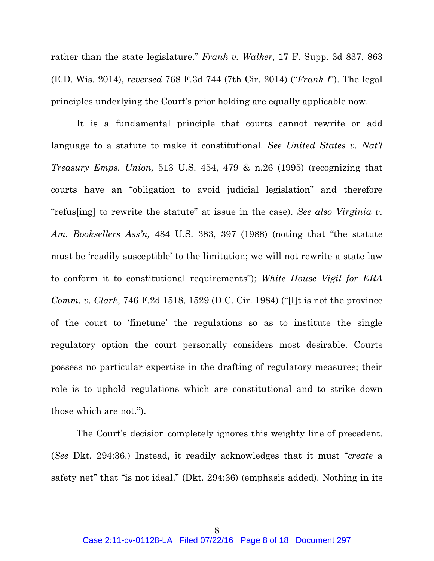rather than the state legislature." *Frank v. Walker*, 17 F. Supp. 3d 837, 863 (E.D. Wis. 2014), *reversed* 768 F.3d 744 (7th Cir. 2014) ("*Frank I*"). The legal principles underlying the Court's prior holding are equally applicable now.

It is a fundamental principle that courts cannot rewrite or add language to a statute to make it constitutional. *See United States v. Nat'l Treasury Emps. Union,* 513 U.S. 454, 479 & n.26 (1995) (recognizing that courts have an "obligation to avoid judicial legislation" and therefore "refus[ing] to rewrite the statute" at issue in the case). *See also Virginia v. Am. Booksellers Ass'n,* 484 U.S. 383, 397 (1988) (noting that "the statute must be 'readily susceptible' to the limitation; we will not rewrite a state law to conform it to constitutional requirements"); *White House Vigil for ERA Comm. v. Clark,* 746 F.2d 1518, 1529 (D.C. Cir. 1984) ("[I]t is not the province of the court to 'finetune' the regulations so as to institute the single regulatory option the court personally considers most desirable. Courts possess no particular expertise in the drafting of regulatory measures; their role is to uphold regulations which are constitutional and to strike down those which are not.").

The Court's decision completely ignores this weighty line of precedent. (*See* Dkt. 294:36.) Instead, it readily acknowledges that it must "*create* a safety net" that "is not ideal." (Dkt. 294:36) (emphasis added). Nothing in its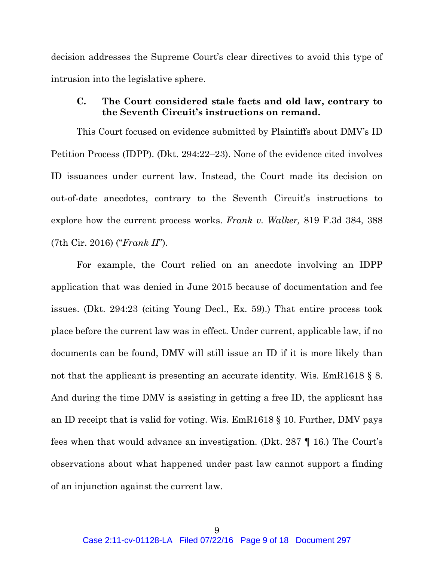decision addresses the Supreme Court's clear directives to avoid this type of intrusion into the legislative sphere.

## **C. The Court considered stale facts and old law, contrary to the Seventh Circuit's instructions on remand.**

This Court focused on evidence submitted by Plaintiffs about DMV's ID Petition Process (IDPP). (Dkt. 294:22–23). None of the evidence cited involves ID issuances under current law. Instead, the Court made its decision on out-of-date anecdotes, contrary to the Seventh Circuit's instructions to explore how the current process works. *Frank v. Walker,* 819 F.3d 384, 388 (7th Cir. 2016) ("*Frank II*").

For example, the Court relied on an anecdote involving an IDPP application that was denied in June 2015 because of documentation and fee issues. (Dkt. 294:23 (citing Young Decl., Ex. 59).) That entire process took place before the current law was in effect. Under current, applicable law, if no documents can be found, DMV will still issue an ID if it is more likely than not that the applicant is presenting an accurate identity. Wis. EmR1618 § 8. And during the time DMV is assisting in getting a free ID, the applicant has an ID receipt that is valid for voting. Wis. EmR1618 § 10. Further, DMV pays fees when that would advance an investigation. (Dkt. 287 ¶ 16.) The Court's observations about what happened under past law cannot support a finding of an injunction against the current law.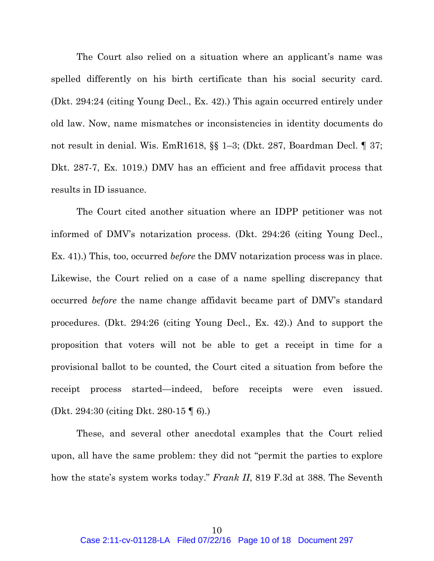The Court also relied on a situation where an applicant's name was spelled differently on his birth certificate than his social security card. (Dkt. 294:24 (citing Young Decl., Ex. 42).) This again occurred entirely under old law. Now, name mismatches or inconsistencies in identity documents do not result in denial. Wis. EmR1618, §§ 1–3; (Dkt. 287, Boardman Decl. ¶ 37; Dkt. 287-7, Ex. 1019.) DMV has an efficient and free affidavit process that results in ID issuance.

The Court cited another situation where an IDPP petitioner was not informed of DMV's notarization process. (Dkt. 294:26 (citing Young Decl., Ex. 41).) This, too, occurred *before* the DMV notarization process was in place. Likewise, the Court relied on a case of a name spelling discrepancy that occurred *before* the name change affidavit became part of DMV's standard procedures. (Dkt. 294:26 (citing Young Decl., Ex. 42).) And to support the proposition that voters will not be able to get a receipt in time for a provisional ballot to be counted, the Court cited a situation from before the receipt process started—indeed, before receipts were even issued. (Dkt. 294:30 (citing Dkt. 280-15 ¶ 6).)

These, and several other anecdotal examples that the Court relied upon, all have the same problem: they did not "permit the parties to explore how the state's system works today." *Frank II*, 819 F.3d at 388. The Seventh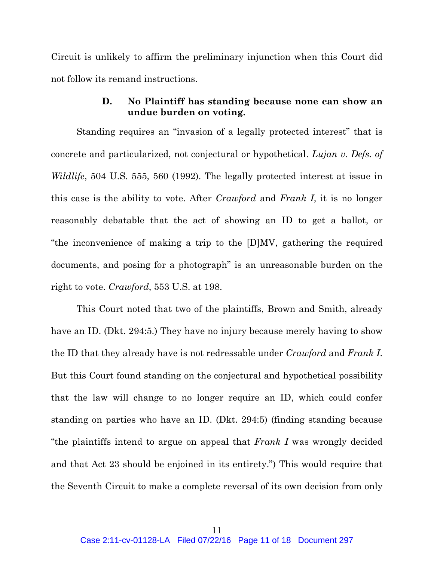Circuit is unlikely to affirm the preliminary injunction when this Court did not follow its remand instructions.

## **D. No Plaintiff has standing because none can show an undue burden on voting.**

Standing requires an "invasion of a legally protected interest" that is concrete and particularized, not conjectural or hypothetical. *Lujan v. Defs. of Wildlife*, 504 U.S. 555, 560 (1992). The legally protected interest at issue in this case is the ability to vote. After *Crawford* and *Frank I*, it is no longer reasonably debatable that the act of showing an ID to get a ballot, or "the inconvenience of making a trip to the [D]MV, gathering the required documents, and posing for a photograph" is an unreasonable burden on the right to vote. *Crawford*, 553 U.S. at 198.

This Court noted that two of the plaintiffs, Brown and Smith, already have an ID. (Dkt. 294:5.) They have no injury because merely having to show the ID that they already have is not redressable under *Crawford* and *Frank I*. But this Court found standing on the conjectural and hypothetical possibility that the law will change to no longer require an ID, which could confer standing on parties who have an ID. (Dkt. 294:5) (finding standing because "the plaintiffs intend to argue on appeal that *Frank I* was wrongly decided and that Act 23 should be enjoined in its entirety.") This would require that the Seventh Circuit to make a complete reversal of its own decision from only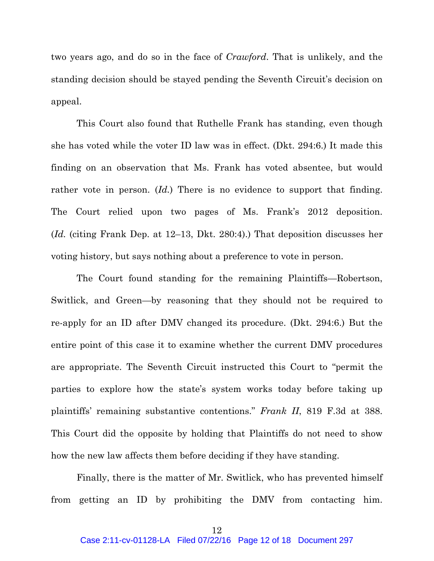two years ago, and do so in the face of *Crawford*. That is unlikely, and the standing decision should be stayed pending the Seventh Circuit's decision on appeal.

This Court also found that Ruthelle Frank has standing, even though she has voted while the voter ID law was in effect. (Dkt. 294:6.) It made this finding on an observation that Ms. Frank has voted absentee, but would rather vote in person. (*Id.*) There is no evidence to support that finding. The Court relied upon two pages of Ms. Frank's 2012 deposition. (*Id.* (citing Frank Dep. at 12–13, Dkt. 280:4).) That deposition discusses her voting history, but says nothing about a preference to vote in person.

The Court found standing for the remaining Plaintiffs—Robertson, Switlick, and Green—by reasoning that they should not be required to re-apply for an ID after DMV changed its procedure. (Dkt. 294:6.) But the entire point of this case it to examine whether the current DMV procedures are appropriate. The Seventh Circuit instructed this Court to "permit the parties to explore how the state's system works today before taking up plaintiffs' remaining substantive contentions." *Frank II*, 819 F.3d at 388. This Court did the opposite by holding that Plaintiffs do not need to show how the new law affects them before deciding if they have standing.

Finally, there is the matter of Mr. Switlick, who has prevented himself from getting an ID by prohibiting the DMV from contacting him.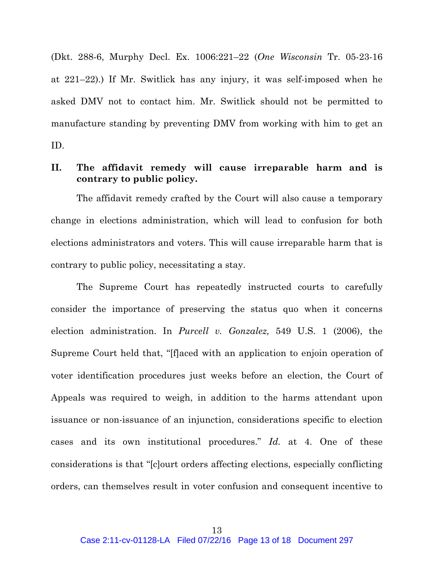(Dkt. 288-6, Murphy Decl. Ex. 1006:221–22 (*One Wisconsin* Tr. 05-23-16 at 221–22).) If Mr. Switlick has any injury, it was self-imposed when he asked DMV not to contact him. Mr. Switlick should not be permitted to manufacture standing by preventing DMV from working with him to get an ID.

## **II. The affidavit remedy will cause irreparable harm and is contrary to public policy.**

The affidavit remedy crafted by the Court will also cause a temporary change in elections administration, which will lead to confusion for both elections administrators and voters. This will cause irreparable harm that is contrary to public policy, necessitating a stay.

The Supreme Court has repeatedly instructed courts to carefully consider the importance of preserving the status quo when it concerns election administration. In *Purcell v. Gonzalez,* 549 U.S. 1 (2006), the Supreme Court held that, "[f]aced with an application to enjoin operation of voter identification procedures just weeks before an election, the Court of Appeals was required to weigh, in addition to the harms attendant upon issuance or non-issuance of an injunction, considerations specific to election cases and its own institutional procedures." *Id.* at 4. One of these considerations is that "[c]ourt orders affecting elections, especially conflicting orders, can themselves result in voter confusion and consequent incentive to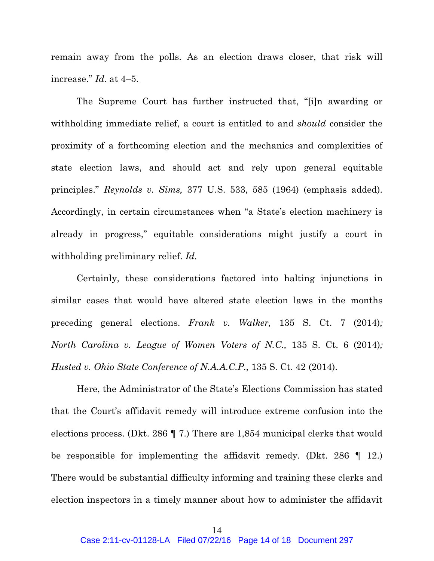remain away from the polls. As an election draws closer, that risk will increase." *Id.* at 4–5.

The Supreme Court has further instructed that, "[i]n awarding or withholding immediate relief, a court is entitled to and *should* consider the proximity of a forthcoming election and the mechanics and complexities of state election laws, and should act and rely upon general equitable principles." *Reynolds v. Sims,* 377 U.S. 533, 585 (1964) (emphasis added). Accordingly, in certain circumstances when "a State's election machinery is already in progress," equitable considerations might justify a court in withholding preliminary relief. *Id.*

Certainly, these considerations factored into halting injunctions in similar cases that would have altered state election laws in the months preceding general elections. *Frank v. Walker,* 135 S. Ct. 7 (2014)*; North Carolina v. League of Women Voters of N.C.,* 135 S. Ct. 6 (2014)*; Husted v. Ohio State Conference of N.A.A.C.P.,* 135 S. Ct. 42 (2014).

Here, the Administrator of the State's Elections Commission has stated that the Court's affidavit remedy will introduce extreme confusion into the elections process. (Dkt. 286 ¶ 7.) There are 1,854 municipal clerks that would be responsible for implementing the affidavit remedy. (Dkt. 286  $\parallel$  12.) There would be substantial difficulty informing and training these clerks and election inspectors in a timely manner about how to administer the affidavit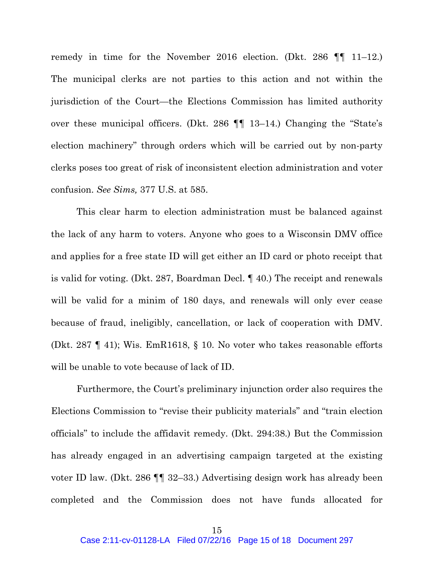remedy in time for the November 2016 election. (Dkt. 286 ¶¶ 11–12.) The municipal clerks are not parties to this action and not within the jurisdiction of the Court—the Elections Commission has limited authority over these municipal officers. (Dkt. 286 ¶¶ 13–14.) Changing the "State's election machinery" through orders which will be carried out by non-party clerks poses too great of risk of inconsistent election administration and voter confusion. *See Sims,* 377 U.S. at 585.

 This clear harm to election administration must be balanced against the lack of any harm to voters. Anyone who goes to a Wisconsin DMV office and applies for a free state ID will get either an ID card or photo receipt that is valid for voting. (Dkt. 287, Boardman Decl. ¶ 40.) The receipt and renewals will be valid for a minim of 180 days, and renewals will only ever cease because of fraud, ineligibly, cancellation, or lack of cooperation with DMV. (Dkt. 287 ¶ 41); Wis. EmR1618, § 10. No voter who takes reasonable efforts will be unable to vote because of lack of ID.

Furthermore, the Court's preliminary injunction order also requires the Elections Commission to "revise their publicity materials" and "train election officials" to include the affidavit remedy. (Dkt. 294:38.) But the Commission has already engaged in an advertising campaign targeted at the existing voter ID law. (Dkt. 286 ¶¶ 32–33.) Advertising design work has already been completed and the Commission does not have funds allocated for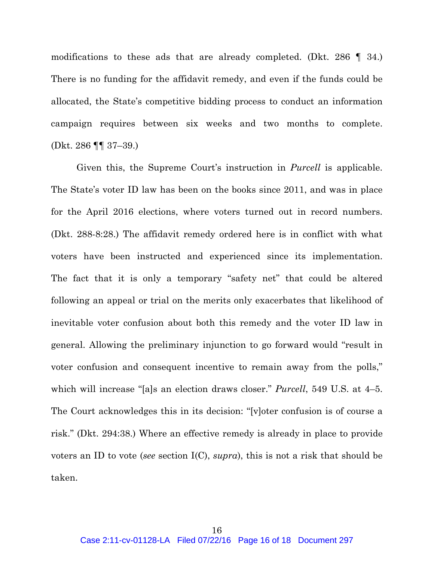modifications to these ads that are already completed. (Dkt. 286 ¶ 34.) There is no funding for the affidavit remedy, and even if the funds could be allocated, the State's competitive bidding process to conduct an information campaign requires between six weeks and two months to complete. (Dkt. 286 ¶¶ 37–39.)

Given this, the Supreme Court's instruction in *Purcell* is applicable. The State's voter ID law has been on the books since 2011, and was in place for the April 2016 elections, where voters turned out in record numbers. (Dkt. 288-8:28.) The affidavit remedy ordered here is in conflict with what voters have been instructed and experienced since its implementation. The fact that it is only a temporary "safety net" that could be altered following an appeal or trial on the merits only exacerbates that likelihood of inevitable voter confusion about both this remedy and the voter ID law in general. Allowing the preliminary injunction to go forward would "result in voter confusion and consequent incentive to remain away from the polls," which will increase "[a]s an election draws closer." *Purcell*, 549 U.S. at 4–5. The Court acknowledges this in its decision: "[v]oter confusion is of course a risk." (Dkt. 294:38.) Where an effective remedy is already in place to provide voters an ID to vote (*see* section I(C), *supra*), this is not a risk that should be taken.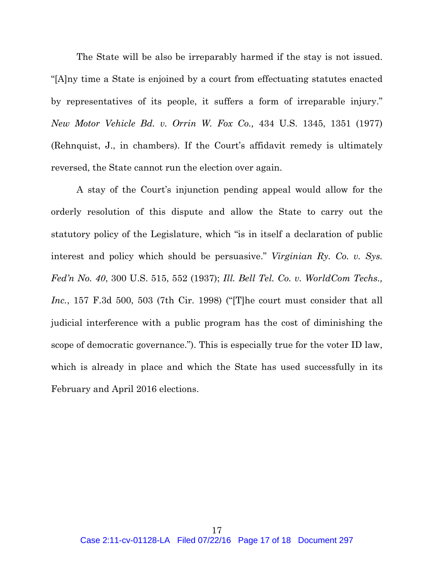The State will be also be irreparably harmed if the stay is not issued. "[A]ny time a State is enjoined by a court from effectuating statutes enacted by representatives of its people, it suffers a form of irreparable injury." *New Motor Vehicle Bd. v. Orrin W. Fox Co.,* 434 U.S. 1345, 1351 (1977) (Rehnquist, J., in chambers). If the Court's affidavit remedy is ultimately reversed, the State cannot run the election over again.

A stay of the Court's injunction pending appeal would allow for the orderly resolution of this dispute and allow the State to carry out the statutory policy of the Legislature, which "is in itself a declaration of public interest and policy which should be persuasive." *Virginian Ry. Co. v. Sys. Fed'n No. 40*, 300 U.S. 515, 552 (1937); *Ill. Bell Tel. Co. v. WorldCom Techs., Inc.*, 157 F.3d 500, 503 (7th Cir. 1998) ("[T]he court must consider that all judicial interference with a public program has the cost of diminishing the scope of democratic governance."). This is especially true for the voter ID law, which is already in place and which the State has used successfully in its February and April 2016 elections.